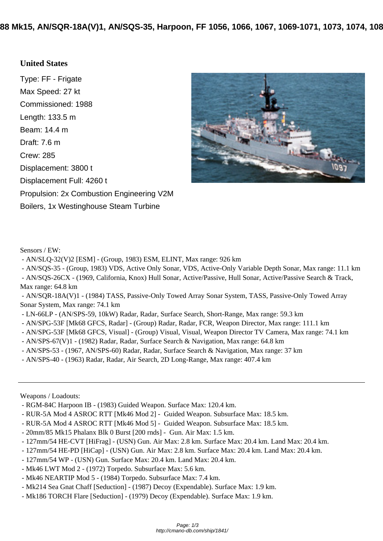## **[United States](http://cmano-db.com/ship/1841/)**

Type: FF - Frigate Max Speed: 27 kt Commissioned: 1988 Length: 133.5 m Beam: 14.4 m Draft: 7.6 m Crew: 285 Displacement: 3800 t Displacement Full: 4260 t Propulsion: 2x Combustion Engineering V2M Boilers, 1x Westinghouse Steam Turbine



Sensors / EW:

- AN/SLQ-32(V)2 [ESM] - (Group, 1983) ESM, ELINT, Max range: 926 km

- AN/SQS-35 - (Group, 1983) VDS, Active Only Sonar, VDS, Active-Only Variable Depth Sonar, Max range: 11.1 km

 - AN/SQS-26CX - (1969, California, Knox) Hull Sonar, Active/Passive, Hull Sonar, Active/Passive Search & Track, Max range: 64.8 km

 - AN/SQR-18A(V)1 - (1984) TASS, Passive-Only Towed Array Sonar System, TASS, Passive-Only Towed Array Sonar System, Max range: 74.1 km

- LN-66LP - (AN/SPS-59, 10kW) Radar, Radar, Surface Search, Short-Range, Max range: 59.3 km

- AN/SPG-53F [Mk68 GFCS, Radar] - (Group) Radar, Radar, FCR, Weapon Director, Max range: 111.1 km

- AN/SPG-53F [Mk68 GFCS, Visual] - (Group) Visual, Visual, Weapon Director TV Camera, Max range: 74.1 km

- AN/SPS-67(V)1 - (1982) Radar, Radar, Surface Search & Navigation, Max range: 64.8 km

- AN/SPS-53 - (1967, AN/SPS-60) Radar, Radar, Surface Search & Navigation, Max range: 37 km

- AN/SPS-40 - (1963) Radar, Radar, Air Search, 2D Long-Range, Max range: 407.4 km

Weapons / Loadouts:

- RGM-84C Harpoon IB (1983) Guided Weapon. Surface Max: 120.4 km.
- RUR-5A Mod 4 ASROC RTT [Mk46 Mod 2] Guided Weapon. Subsurface Max: 18.5 km.
- RUR-5A Mod 4 ASROC RTT [Mk46 Mod 5] Guided Weapon. Subsurface Max: 18.5 km.
- 20mm/85 Mk15 Phalanx Blk 0 Burst [200 rnds] Gun. Air Max: 1.5 km.
- 127mm/54 HE-CVT [HiFrag] (USN) Gun. Air Max: 2.8 km. Surface Max: 20.4 km. Land Max: 20.4 km.
- 127mm/54 HE-PD [HiCap] (USN) Gun. Air Max: 2.8 km. Surface Max: 20.4 km. Land Max: 20.4 km.
- 127mm/54 WP (USN) Gun. Surface Max: 20.4 km. Land Max: 20.4 km.
- Mk46 LWT Mod 2 (1972) Torpedo. Subsurface Max: 5.6 km.
- Mk46 NEARTIP Mod 5 (1984) Torpedo. Subsurface Max: 7.4 km.
- Mk214 Sea Gnat Chaff [Seduction] (1987) Decoy (Expendable). Surface Max: 1.9 km.
- Mk186 TORCH Flare [Seduction] (1979) Decoy (Expendable). Surface Max: 1.9 km.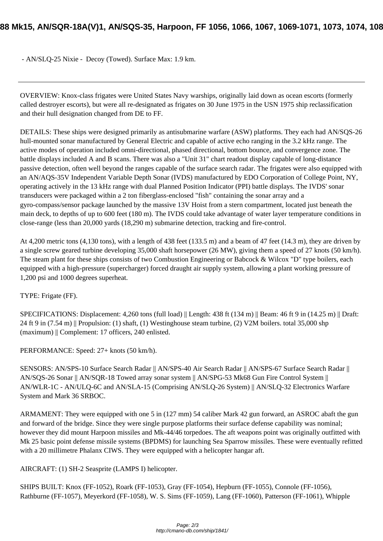OVERVIEW: Knox-class frigates were United States Navy warships, originally laid down as ocean escorts (formerly called destroyer escorts), but were all re-designated as frigates on 30 June 1975 in the USN 1975 ship reclassification and their hull designation changed from DE to FF.

DETAILS: These ships were designed primarily as antisubmarine warfare (ASW) platforms. They each had AN/SQS-26 hull-mounted sonar manufactured by General Electric and capable of active echo ranging in the 3.2 kHz range. The active modes of operation included omni-directional, phased directional, bottom bounce, and convergence zone. The battle displays included A and B scans. There was also a "Unit 31" chart readout display capable of long-distance passive detection, often well beyond the ranges capable of the surface search radar. The frigates were also equipped with an AN/AQS-35V Independent Variable Depth Sonar (IVDS) manufactured by EDO Corporation of College Point, NY, operating actively in the 13 kHz range with dual Planned Position Indicator (PPI) battle displays. The IVDS' sonar transducers were packaged within a 2 ton fiberglass-enclosed "fish" containing the sonar array and a gyro-compass/sensor package launched by the massive 13V Hoist from a stern compartment, located just beneath the main deck, to depths of up to 600 feet (180 m). The IVDS could take advantage of water layer temperature conditions in close-range (less than 20,000 yards (18,290 m) submarine detection, tracking and fire-control.

At 4,200 metric tons (4,130 tons), with a length of 438 feet (133.5 m) and a beam of 47 feet (14.3 m), they are driven by a single screw geared turbine developing 35,000 shaft horsepower (26 MW), giving them a speed of 27 knots (50 km/h). The steam plant for these ships consists of two Combustion Engineering or Babcock & Wilcox "D" type boilers, each equipped with a high-pressure (supercharger) forced draught air supply system, allowing a plant working pressure of 1,200 psi and 1000 degrees superheat.

## TYPE: Frigate (FF).

SPECIFICATIONS: Displacement: 4,260 tons (full load) || Length: 438 ft (134 m) || Beam: 46 ft 9 in (14.25 m) || Draft: 24 ft 9 in (7.54 m) || Propulsion: (1) shaft, (1) Westinghouse steam turbine, (2) V2M boilers. total 35,000 shp (maximum) || Complement: 17 officers, 240 enlisted.

PERFORMANCE: Speed: 27+ knots (50 km/h).

SENSORS: AN/SPS-10 Surface Search Radar || AN/SPS-40 Air Search Radar || AN/SPS-67 Surface Search Radar || AN/SQS-26 Sonar || AN/SQR-18 Towed array sonar system || AN/SPG-53 Mk68 Gun Fire Control System || AN/WLR-1C - AN/ULQ-6C and AN/SLA-15 (Comprising AN/SLQ-26 System) || AN/SLQ-32 Electronics Warfare System and Mark 36 SRBOC.

ARMAMENT: They were equipped with one 5 in (127 mm) 54 caliber Mark 42 gun forward, an ASROC abaft the gun and forward of the bridge. Since they were single purpose platforms their surface defense capability was nominal; however they did mount Harpoon missiles and Mk-44/46 torpedoes. The aft weapons point was originally outfitted with Mk 25 basic point defense missile systems (BPDMS) for launching Sea Sparrow missiles. These were eventually refitted with a 20 millimetre Phalanx CIWS. They were equipped with a helicopter hangar aft.

AIRCRAFT: (1) SH-2 Seasprite (LAMPS I) helicopter.

SHIPS BUILT: Knox (FF-1052), Roark (FF-1053), Gray (FF-1054), Hepburn (FF-1055), Connole (FF-1056), Rathburne (FF-1057), Meyerkord (FF-1058), W. S. Sims (FF-1059), Lang (FF-1060), Patterson (FF-1061), Whipple